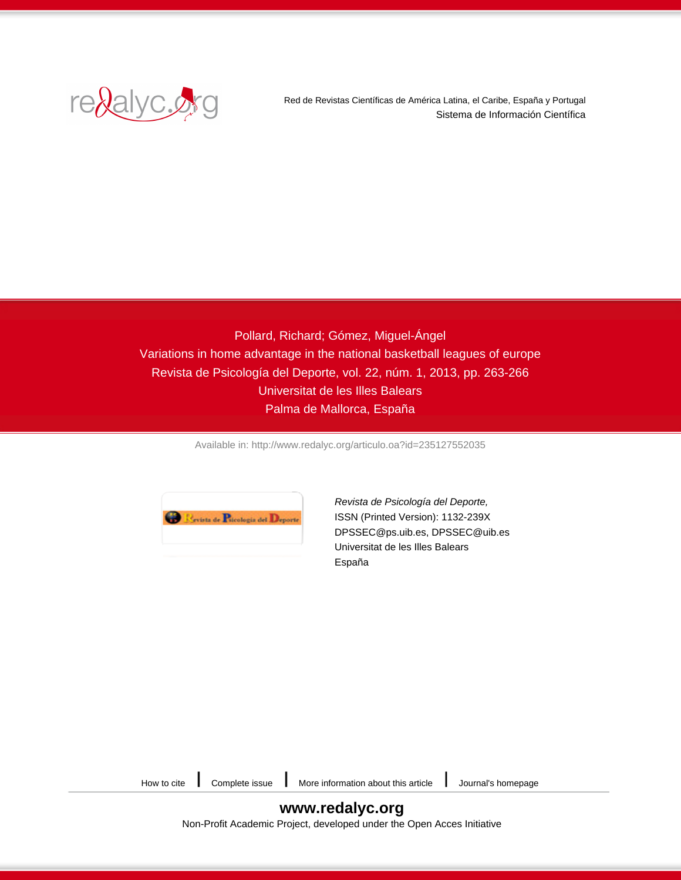

Red de Revistas Científicas de América Latina, el Caribe, España y Portugal Sistema de Información Científica

Pollard, Richard; Gómez, Miguel-Ángel Variations in home advantage in the national basketball leagues of europe Revista de Psicología del Deporte, vol. 22, núm. 1, 2013, pp. 263-266 Universitat de les Illes Balears Palma de Mallorca, España

[Available in: http://www.redalyc.org/articulo.oa?id=235127552035](http://www.redalyc.org/articulo.oa?id=235127552035)



[Revista de Psicología del Deporte,](http://www.redalyc.org/revista.oa?id=2351) ISSN (Printed Version): 1132-239X DPSSEC@ps.uib.es, DPSSEC@uib.es Universitat de les Illes Balears España

| ow to cite | Complet |
|------------|---------|
|            |         |

[How to cite](http://www.redalyc.org/comocitar.oa?id=235127552035) [Complete issue](http://www.redalyc.org/fasciculo.oa?id=2351&numero=27552) [More information about this article](http://www.redalyc.org/articulo.oa?id=235127552035) Julianal's homepage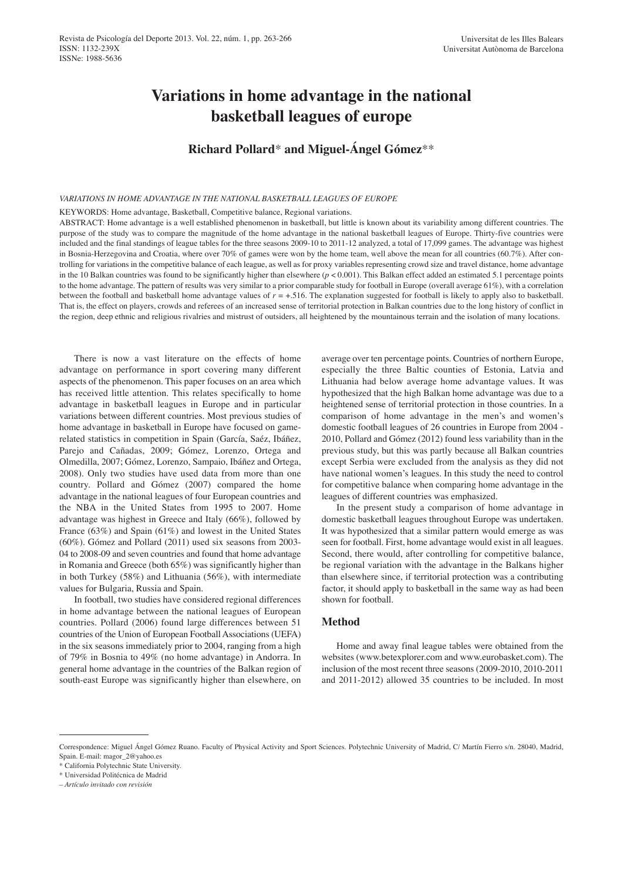# **Variations in home advantage in the national basketball leagues of europe**

## **Richard Pollard**\* **and Miguel-Ángel Gómez**\*\*

#### *VAriAtions in home AdVAntAge in the nAtionAl bAsketbAll leAgues of europe*

KEYWORDS: Home advantage, Basketball, Competitive balance, Regional variations.

ABSTRACT: Home advantage is a well established phenomenon in basketball, but little is known about its variability among different countries. The purpose of the study was to compare the magnitude of the home advantage in the national basketball leagues of Europe. Thirty-five countries were included and the final standings of league tables for the three seasons 2009-10 to 2011-12 analyzed, a total of 17,099 games. The advantage was highest in Bosnia-Herzegovina and Croatia, where over 70% of games were won by the home team, well above the mean for all countries (60.7%). After controlling for variations in the competitive balance of each league, as well as for proxy variables representing crowd size and travel distance, home advantage in the 10 Balkan countries was found to be significantly higher than elsewhere (*p* < 0.001). This Balkan effect added an estimated 5.1 percentage points to the home advantage. The pattern of results was very similar to a prior comparable study for football in Europe (overall average 61%), with a correlation between the football and basketball home advantage values of *r* = +.516. The explanation suggested for football is likely to apply also to basketball. That is, the effect on players, crowds and referees of an increased sense of territorial protection in Balkan countries due to the long history of conflict in the region, deep ethnic and religious rivalries and mistrust of outsiders, all heightened by the mountainous terrain and the isolation of many locations.

There is now a vast literature on the effects of home advantage on performance in sport covering many different aspects of the phenomenon. This paper focuses on an area which has received little attention. This relates specifically to home advantage in basketball leagues in Europe and in particular variations between different countries. Most previous studies of home advantage in basketball in Europe have focused on gamerelated statistics in competition in Spain (García, Saéz, Ibáñez, Parejo and Cañadas, 2009; Gómez, Lorenzo, Ortega and Olmedilla, 2007; Gómez, Lorenzo, Sampaio, Ibáñez and Ortega, 2008). Only two studies have used data from more than one country. Pollard and Gómez (2007) compared the home advantage in the national leagues of four European countries and the NBA in the United States from 1995 to 2007. Home advantage was highest in Greece and Italy (66%), followed by France (63%) and Spain (61%) and lowest in the United States (60%). Gómez and Pollard (2011) used six seasons from 2003- 04 to 2008-09 and seven countries and found that home advantage in Romania and Greece (both 65%) was significantly higher than in both Turkey (58%) and Lithuania (56%), with intermediate values for Bulgaria, Russia and Spain.

In football, two studies have considered regional differences in home advantage between the national leagues of European countries. Pollard (2006) found large differences between 51 countries of the Union of European Football Associations (UEFA) in the six seasons immediately prior to 2004, ranging from a high of 79% in Bosnia to 49% (no home advantage) in Andorra. In general home advantage in the countries of the Balkan region of south-east Europe was significantly higher than elsewhere, on

average over ten percentage points. Countries of northern Europe, especially the three Baltic counties of Estonia, Latvia and Lithuania had below average home advantage values. It was hypothesized that the high Balkan home advantage was due to a heightened sense of territorial protection in those countries. In a comparison of home advantage in the men's and women's domestic football leagues of 26 countries in Europe from 2004 - 2010, Pollard and Gómez (2012) found less variability than in the previous study, but this was partly because all Balkan countries except Serbia were excluded from the analysis as they did not have national women's leagues. In this study the need to control for competitive balance when comparing home advantage in the leagues of different countries was emphasized.

In the present study a comparison of home advantage in domestic basketball leagues throughout Europe was undertaken. It was hypothesized that a similar pattern would emerge as was seen for football. First, home advantage would exist in all leagues. Second, there would, after controlling for competitive balance, be regional variation with the advantage in the Balkans higher than elsewhere since, if territorial protection was a contributing factor, it should apply to basketball in the same way as had been shown for football.

## **Method**

Home and away final league tables were obtained from the websites (www.betexplorer.com and www.eurobasket.com). The inclusion of the most recent three seasons (2009-2010, 2010-2011 and 2011-2012) allowed 35 countries to be included. In most

Correspondence: Miguel Ángel Gómez Ruano. Faculty of Physical Activity and Sport Sciences. Polytechnic University of Madrid, C/ Martín Fierro s/n. 28040, Madrid, Spain. E-mail: magor\_2@yahoo.es

<sup>\*</sup> California Polytechnic State University.

<sup>\*</sup> Universidad Politécnica de Madrid

*<sup>–</sup> Artículo invitado con revisión*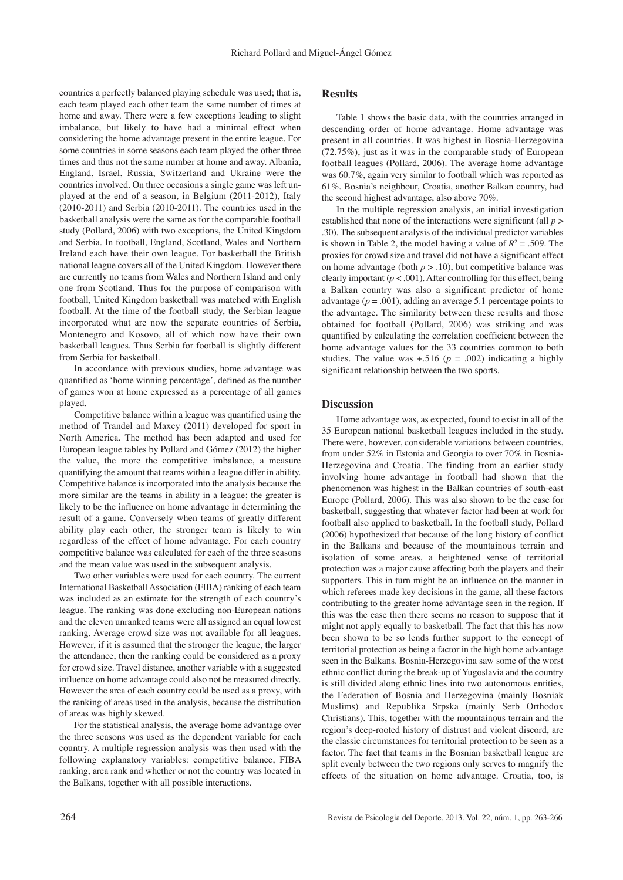countries a perfectly balanced playing schedule was used; that is, each team played each other team the same number of times at home and away. There were a few exceptions leading to slight imbalance, but likely to have had a minimal effect when considering the home advantage present in the entire league. For some countries in some seasons each team played the other three times and thus not the same number at home and away. Albania, England, Israel, Russia, Switzerland and Ukraine were the countries involved. On three occasions a single game was left unplayed at the end of a season, in Belgium (2011-2012), Italy (2010-2011) and Serbia (2010-2011). The countries used in the basketball analysis were the same as for the comparable football study (Pollard, 2006) with two exceptions, the United Kingdom and Serbia. In football, England, Scotland, Wales and Northern Ireland each have their own league. For basketball the British national league covers all of the United Kingdom. However there are currently no teams from Wales and Northern Island and only one from Scotland. Thus for the purpose of comparison with football, United Kingdom basketball was matched with English football. At the time of the football study, the Serbian league incorporated what are now the separate countries of Serbia, Montenegro and Kosovo, all of which now have their own basketball leagues. Thus Serbia for football is slightly different from Serbia for basketball.

In accordance with previous studies, home advantage was quantified as 'home winning percentage', defined as the number of games won at home expressed as a percentage of all games played.

Competitive balance within a league was quantified using the method of Trandel and Maxcy (2011) developed for sport in North America. The method has been adapted and used for European league tables by Pollard and Gómez (2012) the higher the value, the more the competitive imbalance, a measure quantifying the amount that teams within a league differ in ability. Competitive balance is incorporated into the analysis because the more similar are the teams in ability in a league; the greater is likely to be the influence on home advantage in determining the result of a game. Conversely when teams of greatly different ability play each other, the stronger team is likely to win regardless of the effect of home advantage. For each country competitive balance was calculated for each of the three seasons and the mean value was used in the subsequent analysis.

Two other variables were used for each country. The current International Basketball Association (FIBA) ranking of each team was included as an estimate for the strength of each country's league. The ranking was done excluding non-European nations and the eleven unranked teams were all assigned an equal lowest ranking. Average crowd size was not available for all leagues. However, if it is assumed that the stronger the league, the larger the attendance, then the ranking could be considered as a proxy for crowd size. Travel distance, another variable with a suggested influence on home advantage could also not be measured directly. However the area of each country could be used as a proxy, with the ranking of areas used in the analysis, because the distribution of areas was highly skewed.

For the statistical analysis, the average home advantage over the three seasons was used as the dependent variable for each country. A multiple regression analysis was then used with the following explanatory variables: competitive balance, FIBA ranking, area rank and whether or not the country was located in the Balkans, together with all possible interactions.

## **Results**

Table 1 shows the basic data, with the countries arranged in descending order of home advantage. Home advantage was present in all countries. It was highest in Bosnia-Herzegovina (72.75%), just as it was in the comparable study of European football leagues (Pollard, 2006). The average home advantage was 60.7%, again very similar to football which was reported as 61%. Bosnia's neighbour, Croatia, another Balkan country, had the second highest advantage, also above 70%.

In the multiple regression analysis, an initial investigation established that none of the interactions were significant (all *p* > .30). The subsequent analysis of the individual predictor variables is shown in Table 2, the model having a value of  $R^2 = .509$ . The proxies for crowd size and travel did not have a significant effect on home advantage (both  $p > .10$ ), but competitive balance was clearly important  $(p < .001)$ . After controlling for this effect, being a Balkan country was also a significant predictor of home advantage  $(p = .001)$ , adding an average 5.1 percentage points to the advantage. The similarity between these results and those obtained for football (Pollard, 2006) was striking and was quantified by calculating the correlation coefficient between the home advantage values for the 33 countries common to both studies. The value was  $+.516$  ( $p = .002$ ) indicating a highly significant relationship between the two sports.

## **Discussion**

Home advantage was, as expected, found to exist in all of the 35 European national basketball leagues included in the study. There were, however, considerable variations between countries, from under 52% in Estonia and Georgia to over 70% in Bosnia-Herzegovina and Croatia. The finding from an earlier study involving home advantage in football had shown that the phenomenon was highest in the Balkan countries of south-east Europe (Pollard, 2006). This was also shown to be the case for basketball, suggesting that whatever factor had been at work for football also applied to basketball. In the football study, Pollard (2006) hypothesized that because of the long history of conflict in the Balkans and because of the mountainous terrain and isolation of some areas, a heightened sense of territorial protection was a major cause affecting both the players and their supporters. This in turn might be an influence on the manner in which referees made key decisions in the game, all these factors contributing to the greater home advantage seen in the region. If this was the case then there seems no reason to suppose that it might not apply equally to basketball. The fact that this has now been shown to be so lends further support to the concept of territorial protection as being a factor in the high home advantage seen in the Balkans. Bosnia-Herzegovina saw some of the worst ethnic conflict during the break-up of Yugoslavia and the country is still divided along ethnic lines into two autonomous entities, the Federation of Bosnia and Herzegovina (mainly Bosniak Muslims) and Republika Srpska (mainly Serb Orthodox Christians). This, together with the mountainous terrain and the region's deep-rooted history of distrust and violent discord, are the classic circumstances for territorial protection to be seen as a factor. The fact that teams in the Bosnian basketball league are split evenly between the two regions only serves to magnify the effects of the situation on home advantage. Croatia, too, is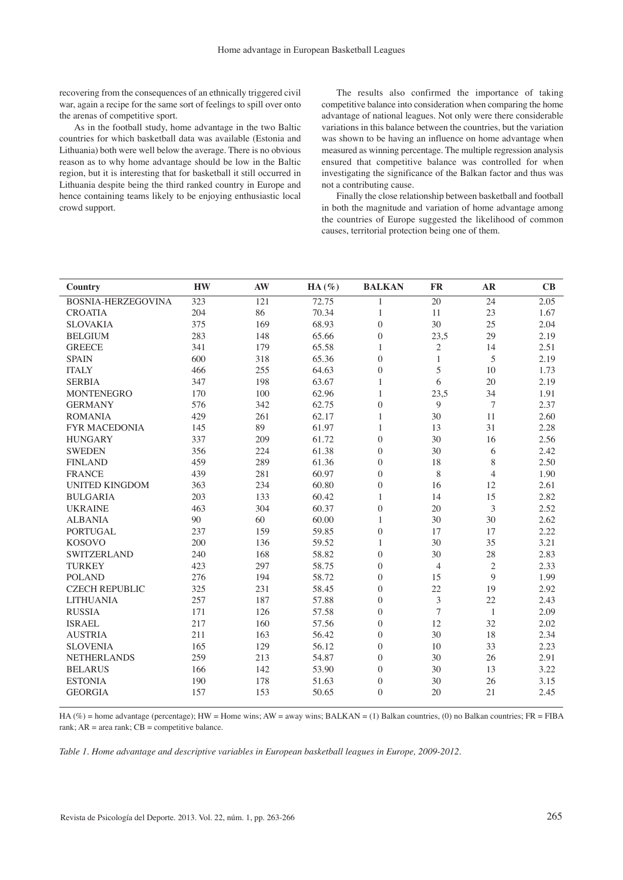recovering from the consequences of an ethnically triggered civil war, again a recipe for the same sort of feelings to spill over onto the arenas of competitive sport.

As in the football study, home advantage in the two Baltic countries for which basketball data was available (Estonia and Lithuania) both were well below the average. There is no obvious reason as to why home advantage should be low in the Baltic region, but it is interesting that for basketball it still occurred in Lithuania despite being the third ranked country in Europe and hence containing teams likely to be enjoying enthusiastic local crowd support.

The results also confirmed the importance of taking competitive balance into consideration when comparing the home advantage of national leagues. Not only were there considerable variations in this balance between the countries, but the variation was shown to be having an influence on home advantage when measured as winning percentage. The multiple regression analysis ensured that competitive balance was controlled for when investigating the significance of the Balkan factor and thus was not a contributing cause.

Finally the close relationship between basketball and football in both the magnitude and variation of home advantage among the countries of Europe suggested the likelihood of common causes, territorial protection being one of them.

| <b>Country</b>        | <b>HW</b> | AW  | $HA (\%)$ | <b>BALKAN</b>    | <b>FR</b>        | AR               | CB   |
|-----------------------|-----------|-----|-----------|------------------|------------------|------------------|------|
| BOSNIA-HERZEGOVINA    | 323       | 121 | 72.75     | $\mathbf{1}$     | 20               | 24               | 2.05 |
| <b>CROATIA</b>        | 204       | 86  | 70.34     | 1                | 11               | 23               | 1.67 |
| <b>SLOVAKIA</b>       | 375       | 169 | 68.93     | $\overline{0}$   | 30               | 25               | 2.04 |
| <b>BELGIUM</b>        | 283       | 148 | 65.66     | $\mathbf{0}$     | 23,5             | 29               | 2.19 |
| <b>GREECE</b>         | 341       | 179 | 65.58     | 1                | $\overline{c}$   | 14               | 2.51 |
| <b>SPAIN</b>          | 600       | 318 | 65.36     | $\theta$         | $\mathbf{1}$     | 5                | 2.19 |
| <b>ITALY</b>          | 466       | 255 | 64.63     | $\theta$         | 5                | 10               | 1.73 |
| <b>SERBIA</b>         | 347       | 198 | 63.67     | $\mathbf{1}$     | 6                | 20               | 2.19 |
| <b>MONTENEGRO</b>     | 170       | 100 | 62.96     | $\mathbf{1}$     | 23,5             | 34               | 1.91 |
| <b>GERMANY</b>        | 576       | 342 | 62.75     | $\overline{0}$   | 9                | $\boldsymbol{7}$ | 2.37 |
| <b>ROMANIA</b>        | 429       | 261 | 62.17     | $\mathbf{1}$     | 30               | 11               | 2.60 |
| <b>FYR MACEDONIA</b>  | 145       | 89  | 61.97     | $\mathbf{1}$     | 13               | 31               | 2.28 |
| <b>HUNGARY</b>        | 337       | 209 | 61.72     | $\theta$         | 30               | 16               | 2.56 |
| <b>SWEDEN</b>         | 356       | 224 | 61.38     | $\theta$         | 30               | 6                | 2.42 |
| <b>FINLAND</b>        | 459       | 289 | 61.36     | $\theta$         | 18               | 8                | 2.50 |
| <b>FRANCE</b>         | 439       | 281 | 60.97     | $\overline{0}$   | 8                | $\overline{4}$   | 1.90 |
| <b>UNITED KINGDOM</b> | 363       | 234 | 60.80     | $\overline{0}$   | 16               | 12               | 2.61 |
| <b>BULGARIA</b>       | 203       | 133 | 60.42     | $\,1\,$          | 14               | 15               | 2.82 |
| <b>UKRAINE</b>        | 463       | 304 | 60.37     | $\boldsymbol{0}$ | 20               | 3                | 2.52 |
| <b>ALBANIA</b>        | 90        | 60  | 60.00     | $\mathbf{1}$     | 30               | 30               | 2.62 |
| <b>PORTUGAL</b>       | 237       | 159 | 59.85     | $\boldsymbol{0}$ | 17               | 17               | 2.22 |
| <b>KOSOVO</b>         | 200       | 136 | 59.52     | $\mathbf{1}$     | 30               | 35               | 3.21 |
| <b>SWITZERLAND</b>    | 240       | 168 | 58.82     | $\overline{0}$   | 30               | 28               | 2.83 |
| <b>TURKEY</b>         | 423       | 297 | 58.75     | $\overline{0}$   | $\overline{4}$   | $\sqrt{2}$       | 2.33 |
| <b>POLAND</b>         | 276       | 194 | 58.72     | $\overline{0}$   | 15               | 9                | 1.99 |
| <b>CZECH REPUBLIC</b> | 325       | 231 | 58.45     | $\overline{0}$   | 22               | 19               | 2.92 |
| <b>LITHUANIA</b>      | 257       | 187 | 57.88     | $\overline{0}$   | $\overline{3}$   | 22               | 2.43 |
| <b>RUSSIA</b>         | 171       | 126 | 57.58     | $\overline{0}$   | $\boldsymbol{7}$ | $\mathbf{1}$     | 2.09 |
| <b>ISRAEL</b>         | 217       | 160 | 57.56     | $\overline{0}$   | 12               | 32               | 2.02 |
| <b>AUSTRIA</b>        | 211       | 163 | 56.42     | $\overline{0}$   | 30               | 18               | 2.34 |
| <b>SLOVENIA</b>       | 165       | 129 | 56.12     | $\overline{0}$   | 10               | 33               | 2.23 |
| <b>NETHERLANDS</b>    | 259       | 213 | 54.87     | $\overline{0}$   | 30               | 26               | 2.91 |
| <b>BELARUS</b>        | 166       | 142 | 53.90     | $\overline{0}$   | 30               | 13               | 3.22 |
| <b>ESTONIA</b>        | 190       | 178 | 51.63     | $\mathbf{0}$     | 30               | 26               | 3.15 |
| <b>GEORGIA</b>        | 157       | 153 | 50.65     | $\theta$         | 20               | 21               | 2.45 |

HA (%) = home advantage (percentage); HW = Home wins; AW = away wins; BALKAN = (1) Balkan countries, (0) no Balkan countries; FR = FIBA rank;  $AR = area$  rank;  $CB =$  competitive balance.

*table 1. home advantage and descriptive variables in european basketball leagues in europe, 2009-2012.*